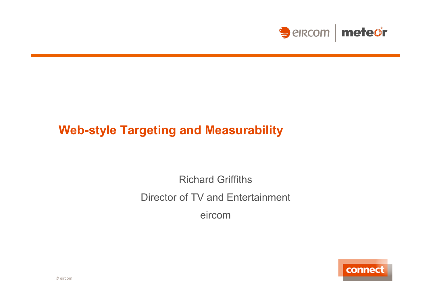

## **Web-style Targeting and Measurability**

Richard Griffiths Director of TV and Entertainment eircom

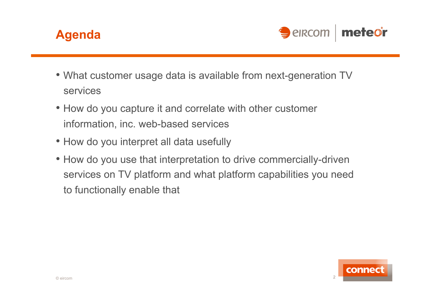



- What customer usage data is available from next-generation TV services
- How do you capture it and correlate with other customer information, inc. web-based services
- How do you interpret all data usefully
- How do you use that interpretation to drive commercially-driven services on TV platform and what platform capabilities you need to functionally enable that

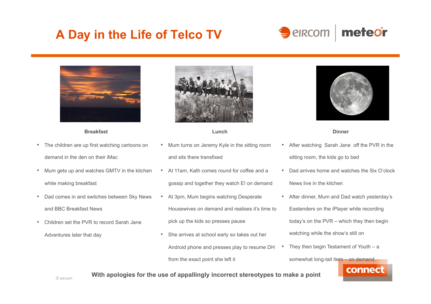# **A Day in the Life of Telco TV**





#### **Breakfast**

- The children are up first watching cartoons on demand in the den on their iMac
- Mum gets up and watches GMTV in the kitchen while making breakfast
- Dad comes in and switches between Sky News and BBC Breakfast News
- Children set the PVR to record Sarah Jane Adventures later that day



#### **Lunch**

- Mum turns on Jeremy Kyle in the sitting room and sits there transfixed
- At 11am, Kath comes round for coffee and a gossip and together they watch E! on demand
- At 3pm, Mum begins watching Desperate Housewives on demand and realises it's time to pick up the kids so presses pause
- She arrives at school early so takes out her Android phone and presses play to resume DH from the exact point she left it



#### **Dinner**

- After watching Sarah Jane off the PVR in the sitting room, the kids go to bed
- Dad arrives home and watches the Six O'clock News live in the kitchen
- After dinner, Mum and Dad watch yesterday's Eastenders on the iPlayer while recording today's on the PVR – which they then begin watching while the show's still on
- They then begin Testament of Youth  $-$  a

somewhat long-tail item - on demand



### **With apologies for the use of appallingly incorrect stereotypes to make a point**

© eircom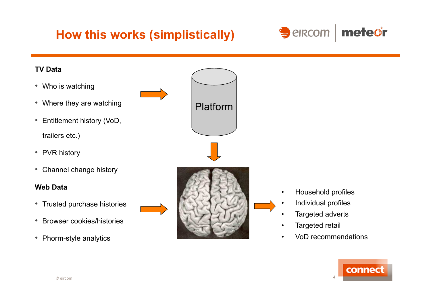# **How this works (simplistically)**





• VoD recommendations

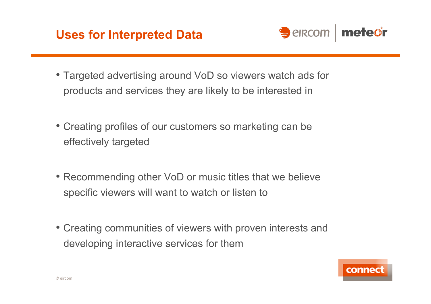



- Targeted advertising around VoD so viewers watch ads for products and services they are likely to be interested in
- Creating profiles of our customers so marketing can be effectively targeted
- Recommending other VoD or music titles that we believe specific viewers will want to watch or listen to
- Creating communities of viewers with proven interests and developing interactive services for them

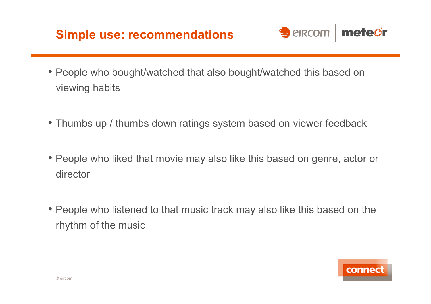# **Simple use: recommendations**



- People who bought/watched that also bought/watched this based on viewing habits
- Thumbs up / thumbs down ratings system based on viewer feedback
- People who liked that movie may also like this based on genre, actor or director
- People who listened to that music track may also like this based on the rhythm of the music

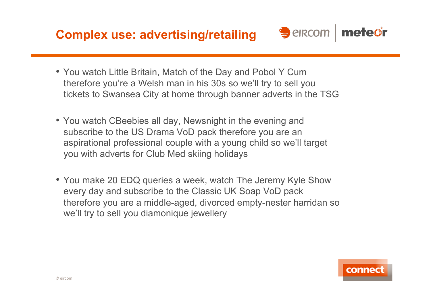**Complex use: advertising/retailing** 



- You watch Little Britain, Match of the Day and Pobol Y Cum therefore you're a Welsh man in his 30s so we'll try to sell you tickets to Swansea City at home through banner adverts in the TSG
- You watch CBeebies all day, Newsnight in the evening and subscribe to the US Drama VoD pack therefore you are an aspirational professional couple with a young child so we'll target you with adverts for Club Med skiing holidays
- You make 20 EDQ queries a week, watch The Jeremy Kyle Show every day and subscribe to the Classic UK Soap VoD pack therefore you are a middle-aged, divorced empty-nester harridan so we'll try to sell you diamonique jewellery

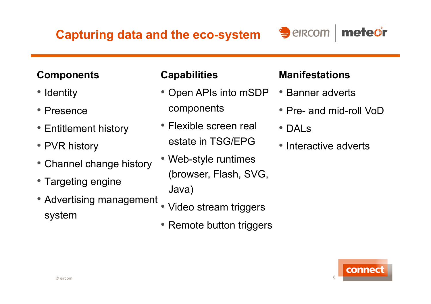**Capturing data and the eco-system** 

## **Components**

- Identity
- Presence
- Entitlement history
- PVR history
- Channel change history
- Targeting engine
- Advertising management system

## **Capabilities**

- Open APIs into mSDP components
- Flexible screen real estate in TSG/EPG
- Web-style runtimes (browser, Flash, SVG, Java)
- Video stream triggers
- Remote button triggers

## **Manifestations**

 $\bigcirc$  elrcom

- Banner adverts
- Pre- and mid-roll VoD

meteor

- DALs
- Interactive adverts

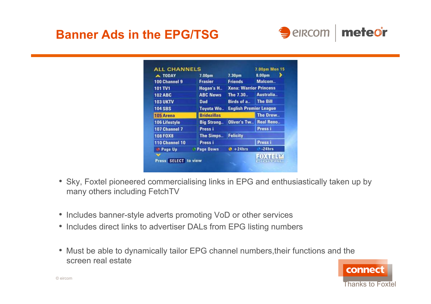# **Banner Ads in the EPG/TSG**



| A TODAY              | 7.00pm             | 7.30 <sub>pm</sub>            | 8.00pm           |
|----------------------|--------------------|-------------------------------|------------------|
| 100 Channel 9        | <b>Frasier</b>     | <b>Friends</b>                | Malcom           |
| 101 TV1              | Hogan's H          | <b>Xena: Warrior Princess</b> |                  |
| <b>102 ABC</b>       | <b>ABC News</b>    | The 7.30                      | Australia        |
| <b>103 UKTV</b>      | <b>Dad</b>         | Birds of a                    | <b>The Bill</b>  |
| <b>104 SBS</b>       | <b>Toyota Wo</b>   | <b>English Premier League</b> |                  |
| 105 Arena            | <b>Bridezillas</b> |                               | The Drew         |
| <b>106 Lifestyle</b> | <b>Big Strong</b>  | Oliver's Tw                   | <b>Real Reno</b> |
| 107 Channel 7        | Press i            |                               | Press i          |
| <b>108 FOX8</b>      | The Simps          | <b>Felicity</b>               |                  |
| 110 Channel 10       | Press i            |                               | Press i          |
| Page Up              | <b>Page Down</b>   | $+24$ hrs                     | $-24hrs$         |
|                      |                    |                               |                  |

- Sky, Foxtel pioneered commercialising links in EPG and enthusiastically taken up by many others including FetchTV
- Includes banner-style adverts promoting VoD or other services
- Includes direct links to advertiser DALs from EPG listing numbers
- Must be able to dynamically tailor EPG channel numbers,their functions and the screen real estate

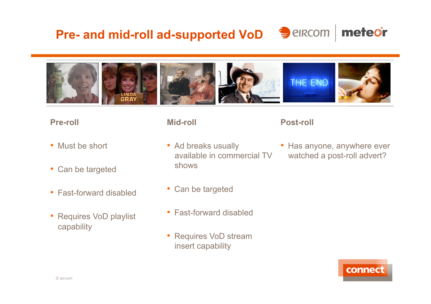## **Pre- and mid-roll ad-supported VoD**  $\bigcirc$  elrecom meteor



### **Pre-roll**

- Must be short
- Can be targeted
- Fast-forward disabled
- Requires VoD playlist capability

### **Mid-roll**

- Ad breaks usually available in commercial TV shows
- Can be targeted
- Fast-forward disabled
- Requires VoD stream insert capability

### **Post-roll**

• Has anyone, anywhere ever watched a post-roll advert?

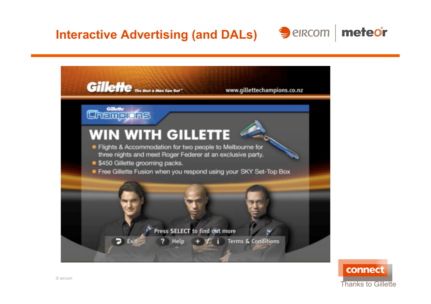